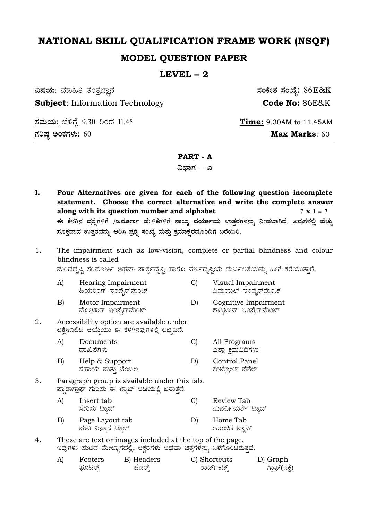# NATIONAL SKILL QUALIFICATION FRAME WORK (NSQF) **MODEL QUESTION PAPER**

### LEVEL  $-2$

<u>ವಿಷಯ:</u> ಮಾಹಿತಿ ತಂತ್ರಜ್ಞಾನ **Subject:** Information Technology

ಸಮಯ: ಬೆಳಿಗ್ಗೆ 9.30 ರಿಂದ 11.45 ಗರಿಷ್ಠ ಅಂಕಗಳು:  $60$ 

<u>ಸಂಕೇತ ಸಂಖ್ಯೆ:</u> 86E&K Code No: 86E&K

**Time:** 9.30AM to 11.45AM Max Marks: 60

## PART - A

ವಿಬಾಗ – ಎ

- I. Four Alternatives are given for each of the following question incomplete statement. Choose the correct alternative and write the complete answer along with its question number and alphabet  $7 \times 1 = 7$ ಈ ಕೆಳಗಿನ ಪ್ರಶೈಗಳಿಗೆ /ಅಷೂರ್ಣ ಹೇಳಿಕೆಗಳಿಗೆ ನಾಲ್ಕು ಪರ್ಯಾಯ ಉತ್ತರಗಳನ್ನು ನೀಡಲಾಗಿದೆ. ಅವುಗಳಲ್ಲಿ ಹೆಚ್ಚು ಸೂಕ್ತವಾದ ಉತ್ತರವನ್ನು ಆರಿಸಿ ಪ್ರಶೈ ಸಂಖ್ಯೆ ಮತ್ತು ಕ್ರಮಾಕ್ಷರದೊಂದಿಗೆ ಬರೆಯಿರಿ.
- 1. The impairment such as low-vision, complete or partial blindness and colour blindness is called

ಮಂದದೃಷ್ಟಿ ಸಂಪೂರ್ಣ ಅಥವಾ ಪಾರ್ಶ್ವದೃಷ್ಟಿ ಹಾಗೂ ವರ್ಣದೃಷ್ಟಿಯ ದುರ್ಬಲತೆಯನ್ನು ಹೀಗೆ ಕರೆಯುತ್ತಾರೆ.

Cognitive Impairment

- $\mathbf{A}$ Hearing Impairment  $\mathcal{C}$ Visual Impairment ಹಿಯರಿಂಗ್ ಇಂಪೈರ್ಮೆಂಟ್ ವಿಷುಯಲ್ ಇಂಪೈರ್ಮೆಂಟ್
- $B)$ Motor Impairment D) ಮೋಟಾರ್ ಇಂಪೈರ್ಮೆಂಟ್ ಕಾಗ್ನಿಟೀವ್ ಇಂಪೈರ್ಮೆಂಟ್
- 2. Accessibility option are available under ಅಕ್ಸೆಸಿಬಿಲಿಟಿ ಆಯ್ಕೆಯು ಈ ಕೆಳಗಿನವುಗಳಲ್ಲಿ ಲಭ್ಯವಿದೆ.
	- Documents  $\mathcal{C}$ A) All Programs ದಾಖಲೆಗಳು ಎಲ್ಲಾ ಕ್ರಮವಿಧಿಗಳು
	- $B)$ Help & Support  $D)$ Control Panel ಸಹಾಯ ಮತು ಬೆಂಬಲ ಕಂಟ್ಪೋಲ್ ಪೆನೆಲ್
- 3. Paragraph group is available under this tab. ಪ್ಯಾರಾಗ್ರಾಫ್ ಗುಂಮ ಈ ಟ್ಯಾಬ್ ಅಡಿಯಲ್ಲಿ ಬರುತ್ತದೆ.
	- $\mathbf{C}$  $\mathbf{A}$ Insert tab Review Tab ಮನರ್ವಿಮರ್ಶೆ ಟ್ಯಾಬ್ ಸೇರಿಸು ಟ್ಯಾಬ್ Page Layout tab Home Tab  $\vert$ B) D)
	- ಮಟ ವಿನ್ನಾಸ ಟ್ಯಾಬ್ ಆರಂಭಿಕ ಟ್ಯಾಬ್
- $4.$ These are text or images included at the top of the page. ಇವುಗಳು ಮಟದ ಮೇಲ್ಭಾಗದಲ್ಲಿ, ಅಕ್ಷರಗಳು ಅಥವಾ ಚಿತ್ರಗಳನ್ನು ಒಳಗೊಂಡಿರುತ್ತದೆ.

| Footers | B) Headers | C) Shortcuts | D) Graph      |
|---------|------------|--------------|---------------|
| ಮೂಟರ್   | ಹೆಡರ್      | ಶಾರ್ಟ್ಕಟ್    | ಗ್ರಾಫ್(ನಕ್ಷೆ) |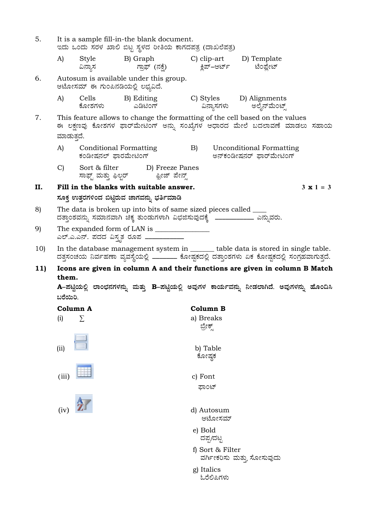| 5.                                                                                 | It is a sample fill-in-the blank document.<br>ಇದು ಒಂದು ಸರಳ ಖಾಲಿ ಬಿಟ್ಟ ಸ್ಥಳದ ರೀತಿಯ ಕಾಗದಪತ್ರ (ದಾಖಲೆಪತ್ರ)                                                                               |                                                                 |                    |                 |           |                  |                                                                                  |                                                                                           |  |
|------------------------------------------------------------------------------------|--------------------------------------------------------------------------------------------------------------------------------------------------------------------------------------|-----------------------------------------------------------------|--------------------|-----------------|-----------|------------------|----------------------------------------------------------------------------------|-------------------------------------------------------------------------------------------|--|
|                                                                                    | A)                                                                                                                                                                                   | Style<br>ವಿನ್ನಾಸ                                                |                    | B) Graph        |           |                  | C) clip-art D) Template<br>ಗ್ರಾಫ್ (ನಕ್ಷೆ)           ಕ್ಲಿಪ್–ಆರ್ಟ್       ಟೆಂಪ್ಲೇಟ್ |                                                                                           |  |
| 6.<br>Autosum is available under this group.<br>ಆಟೋಸಮ್ ಈ ಗುಂಪಿನಡಿಯಲ್ಲಿ ಲಭ್ಯವಿದೆ.   |                                                                                                                                                                                      |                                                                 |                    |                 |           |                  |                                                                                  |                                                                                           |  |
|                                                                                    | A)                                                                                                                                                                                   | Cells<br>ಕೋಶಗಳು                                                 |                    | ಎಡಿಟಿಂಗ್        |           | ವಿನ್ನಾಸಗಳು       | B) Editing C) Styles D) Alignments<br>ಅಲೈನ್ಮೆಂಟ್ಸ್                               |                                                                                           |  |
| 7.                                                                                 | ಮಾಡುತ್ತದೆ.                                                                                                                                                                           |                                                                 |                    |                 |           |                  | This feature allows to change the formatting of the cell based on the values     | ಈ ಲಕ್ಷಣವು ಕೋಶಗಳ ಫಾರ್ಮೇಟಿಂಗ್ ಅನ್ನು ಸಂಖ್ಯೆಗಳ ಆಧಾರದ ಮೇಲೆ ಬದಲಾವಣೆ ಮಾಡಲು ಸಹಾಯ                  |  |
|                                                                                    | A)                                                                                                                                                                                   | Conditional Formatting<br>ಕಂಡೀಷನಲ್ ಫಾರಮೇಟಿಂಗ್                   |                    |                 |           |                  | B) Unconditional Formatting<br>ಅನ್ಕಂಡೀಷನರ್ ಫಾರ್ಮೇಟಿಂಗ್                           |                                                                                           |  |
|                                                                                    | $\mathbf{C}$                                                                                                                                                                         | Sort & filter<br>ಸಾಫ್ಟ್ ಮತ್ತು ಫಿಲ್ಬರ್             ಫ್ರೀಜ್ ಪೇನ್ಸ್ |                    | D) Freeze Panes |           |                  |                                                                                  |                                                                                           |  |
| П.                                                                                 |                                                                                                                                                                                      | Fill in the blanks with suitable answer.                        |                    |                 |           |                  |                                                                                  | $3 \times 1 = 3$                                                                          |  |
|                                                                                    |                                                                                                                                                                                      | ಸೂಕ್ತ ಉತ್ತರಗಳಿಂದ ಬಿಟ್ಟಿರುವ ಜಾಗವನ್ನು ಭರ್ತಿಮಾಡಿ                   |                    |                 |           |                  |                                                                                  |                                                                                           |  |
| 8)                                                                                 | The data is broken up into bits of same sized pieces called _____<br>ದತ್ತಾಂಶವನ್ನು ಸಮಾನವಾಗಿ ಚಿಕ್ಕ ತುಂಡುಗಳಾಗಿ ವಿಭಜಿಸುವುದಕ್ಕೆ ____________ ಎನ್ನುವರು.                                    |                                                                 |                    |                 |           |                  |                                                                                  |                                                                                           |  |
| 9)                                                                                 | ಎಲ್.ಎ.ಎನ್. ಪದದ ವಿಸ್ತೃತ ರೂಪ ___________                                                                                                                                               |                                                                 |                    |                 |           |                  |                                                                                  |                                                                                           |  |
| 10)                                                                                | In the database management system in ______ table data is stored in single table.<br>ದತ್ತಸಂಚಯ ನಿರ್ವಹಣಾ ವ್ಯವಸ್ಥೆಯಲ್ಲಿ ________ ಕೋಷ್ಟಕದಲ್ಲಿ ದತ್ತಾಂಶಗಳು ಏಕ ಕೋಷ್ಟಕದಲ್ಲಿ ಸಂಗ್ರಹವಾಗುತ್ತದೆ. |                                                                 |                    |                 |           |                  |                                                                                  |                                                                                           |  |
| 11)<br>Icons are given in column A and their functions are given in column B Match |                                                                                                                                                                                      |                                                                 |                    |                 |           |                  |                                                                                  |                                                                                           |  |
|                                                                                    | them.                                                                                                                                                                                |                                                                 |                    |                 |           |                  |                                                                                  |                                                                                           |  |
|                                                                                    | ಬರೆಯಿರಿ.                                                                                                                                                                             |                                                                 |                    |                 |           |                  |                                                                                  | A–ಪಟ್ಟಿಯಲ್ಲಿ ಲಾಂಛನಗಳನ್ನು ಮತ್ತು B–ಪಟ್ಟಿಯಲ್ಲಿ ಅವುಗಳ ಕಾರ್ಯವನ್ನು ನೀಡಲಾಗಿದೆ. ಅವುಗಳನ್ನು ಹೊಂದಿಸಿ |  |
|                                                                                    | Column A                                                                                                                                                                             |                                                                 |                    |                 | Column B  |                  |                                                                                  |                                                                                           |  |
|                                                                                    | (i)                                                                                                                                                                                  | Σ                                                               |                    |                 | a) Breaks |                  |                                                                                  |                                                                                           |  |
|                                                                                    |                                                                                                                                                                                      |                                                                 |                    |                 | ಬ್ರೇಕ್ಸ್  |                  |                                                                                  |                                                                                           |  |
|                                                                                    | (ii)                                                                                                                                                                                 |                                                                 | b) Table<br>ಕೋಷ್ಠಕ |                 |           |                  |                                                                                  |                                                                                           |  |
|                                                                                    |                                                                                                                                                                                      |                                                                 |                    |                 |           |                  |                                                                                  |                                                                                           |  |
|                                                                                    | (iii)                                                                                                                                                                                |                                                                 |                    |                 | c) Font   |                  |                                                                                  |                                                                                           |  |
|                                                                                    |                                                                                                                                                                                      |                                                                 |                    |                 |           | ಫಾಂಟ್            |                                                                                  |                                                                                           |  |
| (iv)<br>d) Autosum                                                                 |                                                                                                                                                                                      |                                                                 |                    |                 |           |                  |                                                                                  |                                                                                           |  |
|                                                                                    | ಆಟೋಸಮ್                                                                                                                                                                               |                                                                 |                    |                 |           |                  |                                                                                  |                                                                                           |  |
| e) Bold<br>ದಪ್ಪ/ದಟ್ಟ                                                               |                                                                                                                                                                                      |                                                                 |                    |                 |           |                  |                                                                                  |                                                                                           |  |
|                                                                                    |                                                                                                                                                                                      |                                                                 |                    |                 |           | f) Sort & Filter | ವರ್ಗೀಕರಿಸು ಮತ್ತು ಸೋಸುವುದು                                                        |                                                                                           |  |
| g) Italics<br>ಓರೆಲಿಪಿಗಳು                                                           |                                                                                                                                                                                      |                                                                 |                    |                 |           |                  |                                                                                  |                                                                                           |  |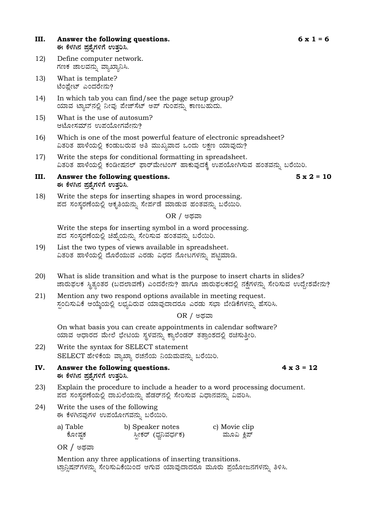#### **III.** Answer the following questions. 6 x 1 = 6 ಈ ಕೆಳಗಿನ ಪ್ರಶೈಗಳಿಗೆ ಉತ್ತರಿಸಿ.

- 12) Define computer network. ಗಣಕ ಜಾಲವನ್ನು ವ್ಯಾಖ್ಯಾನಿಸಿ.
- 13) What is template? ಟೆಂಪ್ಲೇಟ್ ಎಂದರೇನು?
- 14) In which tab you can find/see the page setup group? ಯಾವ ಟ್ಯಾಬ್ನಲ್ಲಿ ನೀವು ಪೇಜ್ ಸೆಟ್ ಅಪ್ ಗುಂಪನ್ನು ಕಾಣಬಹುದು.
- 15) What is the use of autosum? ಆಟೋಸಮ್ $\vec{a}$  ಉಪಯೋಗವೇನು?
- 16) Which is one of the most powerful feature of electronic spreadsheet? ವಿತರಿತ ಹಾಳೆಯಲ್ಲಿ ಕಂಡುಬರುವ ಅತಿ ಮುಖ್ಯವಾದ ಒಂದು ಲಕ್ಷಣ ಯಾವುದು?
- 17) Write the steps for conditional formatting in spreadsheet. ವಿತರಿತ ಹಾಳೆಯಲ್ಲಿ ಕಂಡೀಷನಲ್ ಫಾರ್ಮೇಟಿಂಗ್ ಹಾಕುವುದಕ್ಕೆ ಉಪಯೋಗಿಸುವ ಹಂತವನ್ನು ಬರೆಯಿರಿ.
- **III. Answer the following questions. 5 x 2 = 10 F PɼÀV£À ¥Àæ±ÉßUÀ½UÉ GvÀÛj¹.**

18) Write the steps for inserting shapes in word processing. ಪದ ಸಂಸ್ಕರಣೆಯಲ್ಲಿ ಆಕೃತಿಯನ್ನು ಸೇರ್ಪಡೆ ಮಾಡುವ ಹಂತವನ್ನು ಬರೆಯಿರಿ.

#### OR / ಅಥವಾ

Write the steps for inserting symbol in a word processing. ಪದ ಸಂಸ್ತರಣೆಯಲ್ಲಿ ಚಿಹ್ನೆಯನ್ನು ಸೇರಿಸುವ ಹಂತವನ್ನು ಬರೆಯಿರಿ.

- 19) List the two types of views available in spreadsheet. ವಿತರಿತ ಹಾಳೆಯಲ್ಲಿ ದೊರೆಯುವ ಎರಡು ವಿಧದ ನೋಟಗಳನ್ನು ಪಟ್ಟಿಮಾಡಿ.
- 20) What is slide transition and what is the purpose to insert charts in slides? ಜಾರುಫಲಕ ಸ್ಥಿತ್ಯಂತರ (ಬದಲಾವಣೆ) ಎಂದರೇನು? ಹಾಗೂ ಜಾರುಫಲಕದಲ್ಲಿ ನಕ್ಷೆಗಳನ್ನು ಸೇರಿಸುವ ಉದ್ದೇಶವೇನು?
- 21) Mention any two respond options available in meeting request. ಸ್ಪಂದಿಸುವಿಕೆ ಆಯ್ಕೆಯಲ್ಲಿ ಲಭ್ಯವಿರುವ ಯಾವುದಾದರೂ ಎರಡು ಸಭಾ ಬೇಡಿಕೆಗಳನ್ನು ಹೆಸರಿಸಿ.

OR / ಅಥವಾ

On what basis you can create appointments in calendar software?  $\alpha$ ಯಾವ ಆಧಾರದ ಮೇಲೆ ಭೇಟಿಯ ಸ್ಥಳವನ್ನು ಕ್ಯಾಲೆಂಡರ್ ತತ್ರಾಂಶದಲ್ಲಿ ರಚಿಸುತ್ತೀರಿ.

- 22) Write the syntax for SELECT statement SELECT ಹೇಳಿಕೆಯ ವ್ಯಾಖ್ಯಾ ರಚನೆಯ ನಿಯಮವನ್ನು ಬರೆಯಿರಿ.
- **IV. Answer the following questions. 4 x 3 = 12 F PɼÀV£À ¥Àæ±ÉßUÀ½UÉ GvÀÛj¹.**
- 23) Explain the procedure to include a header to a word processing document. ಪದ ಸಂಸ್ಕರಣೆಯಲ್ಲಿ ದಾಖಲೆಯನ್ನು ಹೆಡರ್ನಲ್ಲಿ ಸೇರಿಸುವ ವಿಧಾನವನ್ನು ವಿವರಿಸಿ.
- 24) Write the uses of the following ಈ ಕೆಳಗಿನವುಗಳ ಉಪಯೋಗವನ್ನು ಬರೆಯಿರಿ.

| a) Table | b) Speaker notes     | c) Movie clip |
|----------|----------------------|---------------|
| ಕೋಷಕ     | ಸ್ಪೀಕರ್ (ಧ್ವನಿವರ್ಧಕ) | ಮೂವಿ ಕಿಪ್     |

OR / ಅಥವಾ

Mention any three applications of inserting transitions. ಟ್ರಾನ್ಷಿಷನ್ಗಳನ್ನು ಸೇರಿಸುವಿಕೆಯಿಂದ ಆಗುವ ಯಾವುದಾದರೂ ಮೂರು ಪ್ರಯೋಜನಗಳನ್ನು ತಿಳಿಸಿ.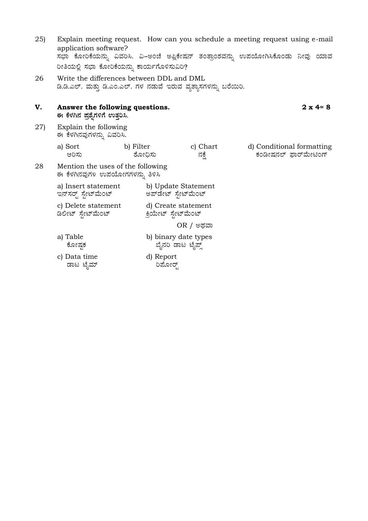| 25) | application software?<br>ರೀತಿಯಲ್ಲಿ ಸಭಾ ಕೋರಿಕೆಯನ್ನು ಕಾರ್ಯಗೊಳಿಸುವಿರಿ?                                            |                      |                                            | Explain meeting request. How can you schedule a meeting request using e-mail<br>ಸಭಾ ಕೋರಿಕೆಯನ್ನು ವಿವರಿಸಿ. ವಿ–ಅಂಚೆ ಅಪ್ಲಿಕೇಷನ್ ತಂತ್ರಾಂಶವನ್ನು ಉಪಯೋಗಿಸಿಕೊಂಡು ನೀವು ಯಾವ |  |  |  |
|-----|----------------------------------------------------------------------------------------------------------------|----------------------|--------------------------------------------|------------------------------------------------------------------------------------------------------------------------------------------------------------------|--|--|--|
| 26  | Write the differences between DDL and DML<br>ಡಿ.ಡಿ.ಎಲ್. ಮತ್ತು ಡಿ.ಎಂ.ಎಲ್. ಗಳ ನಡುವೆ ಇರುವ ವ್ಯತ್ಯಾಸಗಳನ್ನು ಬರೆಯಿರಿ. |                      |                                            |                                                                                                                                                                  |  |  |  |
| V.  | $2 \times 4 = 8$<br>Answer the following questions.<br>ಈ ಕೆಳಗಿನ ಪ್ರಶ್ನೆಗಳಿಗೆ ಉತ್ತರಿಸಿ.                         |                      |                                            |                                                                                                                                                                  |  |  |  |
| 27) | Explain the following<br>ಈ ಕೆಳಗಿನವುಗಳನ್ನು ವಿವರಿಸಿ.                                                             |                      |                                            |                                                                                                                                                                  |  |  |  |
|     | a) Sort<br>ಆರಿಸು                                                                                               | b) Filter<br>ಶೋಧಿಸು  | c) Chart<br>ನಕ್ಷೆ                          | d) Conditional formatting<br>ಕಂಡೀಷನಲ್ ಫಾರ್ಮೇಟಿಂಗ್                                                                                                                |  |  |  |
| 28  | Mention the uses of the following<br>ಈ ಕೆಳಗಿನವುಗಳ ಉಪಯೋಗಗಳನ್ನು ತಿಳಿಸಿ                                           |                      |                                            |                                                                                                                                                                  |  |  |  |
|     | a) Insert statement<br>ಇನ್ಸ್ರಸರ್ ಸ್ಟೇಟ್ ಮೆಂಟ್                                                                  | ಅಪ್ಡೇಟ್ ಸ್ಪೇಟ್ಮೆಂಟ್  | b) Update Statement                        |                                                                                                                                                                  |  |  |  |
|     | c) Delete statement<br>ಡಿಲೀಟ್ ಸ್ಪೇಟ್ ಮೆಂಟ್                                                                     | ಕ್ರಿಯೇಟ್ ಸ್ಟೇಟ್ಮೆಂಟ್ | d) Create statement                        |                                                                                                                                                                  |  |  |  |
|     | OR / ಅಥವಾ                                                                                                      |                      |                                            |                                                                                                                                                                  |  |  |  |
|     | a) Table<br>ಕೋಷಕ                                                                                               |                      | b) binary date types<br>ಬ್ಬೆನರಿ ಡಾಟ ಟೈಪ್ಸ್ |                                                                                                                                                                  |  |  |  |
|     | c) Data time<br>ಡಾಟ ಟೈಮ್                                                                                       | d) Report<br>ರಿಮೋರ್  |                                            |                                                                                                                                                                  |  |  |  |